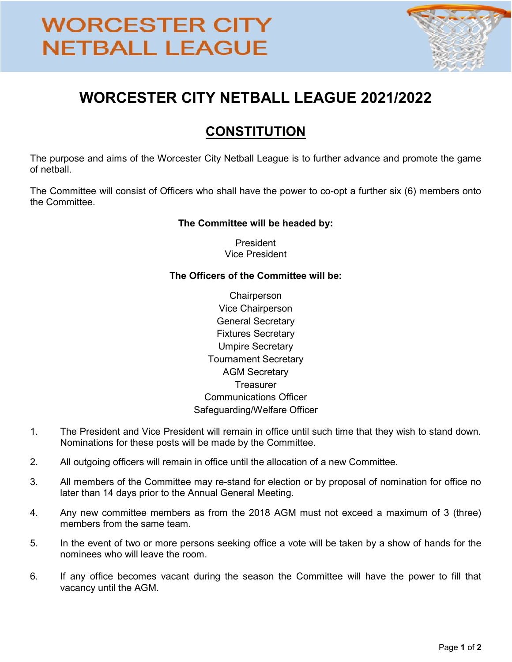# **WORCESTER CITY NETBALL LEAGUE**



### WORCESTER CITY NETBALL LEAGUE 2021/2022

### **CONSTITUTION**

The purpose and aims of the Worcester City Netball League is to further advance and promote the game of netball.

The Committee will consist of Officers who shall have the power to co-opt a further six (6) members onto the Committee.

#### The Committee will be headed by:

President Vice President

#### The Officers of the Committee will be:

- **Chairperson** Vice Chairperson General Secretary Fixtures Secretary Umpire Secretary Tournament Secretary AGM Secretary **Treasurer** Communications Officer Safeguarding/Welfare Officer
- 1. The President and Vice President will remain in office until such time that they wish to stand down. Nominations for these posts will be made by the Committee.
- 2. All outgoing officers will remain in office until the allocation of a new Committee.
- 3. All members of the Committee may re-stand for election or by proposal of nomination for office no later than 14 days prior to the Annual General Meeting.
- 4. Any new committee members as from the 2018 AGM must not exceed a maximum of 3 (three) members from the same team.
- 5. In the event of two or more persons seeking office a vote will be taken by a show of hands for the nominees who will leave the room.
- 6. If any office becomes vacant during the season the Committee will have the power to fill that vacancy until the AGM.